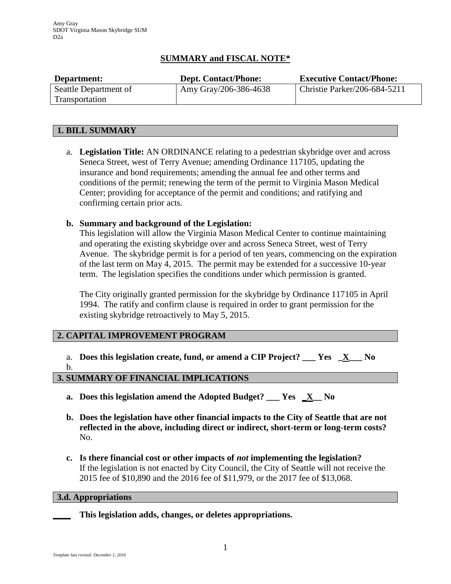# **SUMMARY and FISCAL NOTE\***

| Department:           | <b>Dept. Contact/Phone:</b> | <b>Executive Contact/Phone:</b> |
|-----------------------|-----------------------------|---------------------------------|
| Seattle Department of | Amy Gray/206-386-4638       | Christie Parker/206-684-5211    |
| Transportation        |                             |                                 |

# **1. BILL SUMMARY**

a. **Legislation Title:** AN ORDINANCE relating to a pedestrian skybridge over and across Seneca Street, west of Terry Avenue; amending Ordinance 117105, updating the insurance and bond requirements; amending the annual fee and other terms and conditions of the permit; renewing the term of the permit to Virginia Mason Medical Center; providing for acceptance of the permit and conditions; and ratifying and confirming certain prior acts.

# **b. Summary and background of the Legislation:**

This legislation will allow the Virginia Mason Medical Center to continue maintaining and operating the existing skybridge over and across Seneca Street, west of Terry Avenue. The skybridge permit is for a period of ten years, commencing on the expiration of the last term on May 4, 2015. The permit may be extended for a successive 10-year term. The legislation specifies the conditions under which permission is granted.

The City originally granted permission for the skybridge by Ordinance 117105 in April 1994. The ratify and confirm clause is required in order to grant permission for the existing skybridge retroactively to May 5, 2015.

## **2. CAPITAL IMPROVEMENT PROGRAM**

a. **Does this legislation create, fund, or amend a CIP Project? \_\_\_ Yes \_X\_\_\_ No** b.

## **3. SUMMARY OF FINANCIAL IMPLICATIONS**

- **a. Does this legislation amend the Adopted Budget? \_\_\_ Yes \_X\_\_ No**
- **b. Does the legislation have other financial impacts to the City of Seattle that are not reflected in the above, including direct or indirect, short-term or long-term costs?** No.
- **c. Is there financial cost or other impacts of** *not* **implementing the legislation?** If the legislation is not enacted by City Council, the City of Seattle will not receive the 2015 fee of \$10,890 and the 2016 fee of \$11,979, or the 2017 fee of \$13,068.

## **3.d. Appropriations**

**\_\_\_\_ This legislation adds, changes, or deletes appropriations.**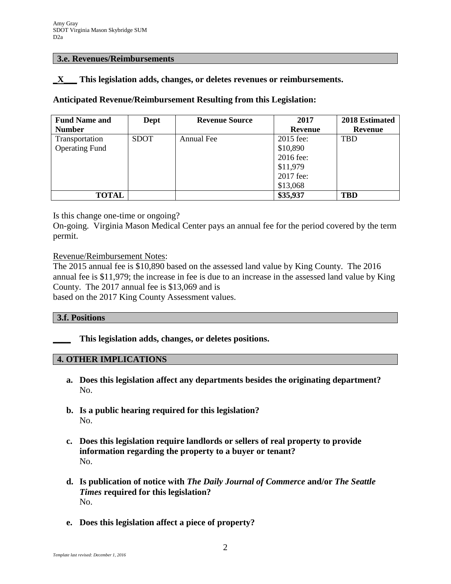#### **3.e. Revenues/Reimbursements**

# **\_X\_\_\_ This legislation adds, changes, or deletes revenues or reimbursements.**

# **Anticipated Revenue/Reimbursement Resulting from this Legislation:**

| <b>Fund Name and</b>  | Dept        | <b>Revenue Source</b> | 2017           | 2018 Estimated |
|-----------------------|-------------|-----------------------|----------------|----------------|
| <b>Number</b>         |             |                       | <b>Revenue</b> | Revenue        |
| Transportation        | <b>SDOT</b> | Annual Fee            | 2015 fee:      | <b>TBD</b>     |
| <b>Operating Fund</b> |             |                       | \$10,890       |                |
|                       |             |                       | 2016 fee:      |                |
|                       |             |                       | \$11,979       |                |
|                       |             |                       | 2017 fee:      |                |
|                       |             |                       | \$13,068       |                |
| <b>TOTAL</b>          |             |                       | \$35,937       | <b>TBD</b>     |

Is this change one-time or ongoing?

On-going. Virginia Mason Medical Center pays an annual fee for the period covered by the term permit.

Revenue/Reimbursement Notes:

The 2015 annual fee is \$10,890 based on the assessed land value by King County. The 2016 annual fee is \$11,979; the increase in fee is due to an increase in the assessed land value by King County. The 2017 annual fee is \$13,069 and is based on the 2017 King County Assessment values.

#### **3.f. Positions**

**\_\_\_\_ This legislation adds, changes, or deletes positions.**

## **4. OTHER IMPLICATIONS**

- **a. Does this legislation affect any departments besides the originating department?** No.
- **b. Is a public hearing required for this legislation?** No.
- **c. Does this legislation require landlords or sellers of real property to provide information regarding the property to a buyer or tenant?** No.
- **d. Is publication of notice with** *The Daily Journal of Commerce* **and/or** *The Seattle Times* **required for this legislation?** No.
- **e. Does this legislation affect a piece of property?**